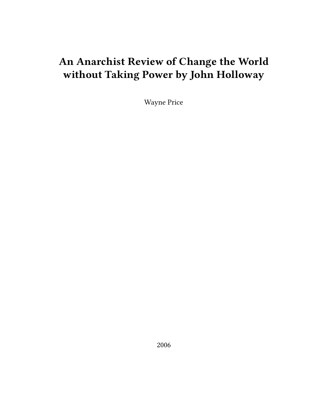# **An Anarchist Review of Change the World without Taking Power by John Holloway**

Wayne Price

2006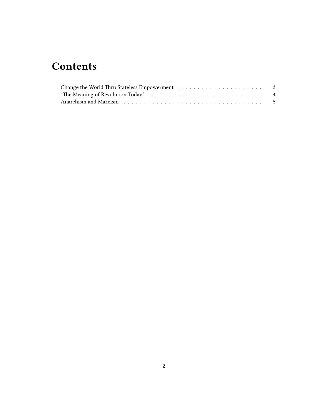## **Contents**

| Anarchism and Marxism resources in the contract of the contract of the contract of the contract of the contract of the contract of the contract of the contract of the contract of the contract of the contract of the contrac |  |
|--------------------------------------------------------------------------------------------------------------------------------------------------------------------------------------------------------------------------------|--|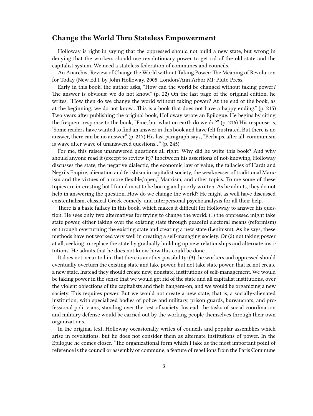#### <span id="page-2-0"></span>**Change the World Thru Stateless Empowerment**

Holloway is right in saying that the oppressed should not build a new state, but wrong in denying that the workers should use revolutionary power to get rid of the old state and the capitalist system. We need a stateless federation of communes and councils.

An Anarchist Review of Change the World without Taking Power; The Meaning of Revolution for Today (New Ed.), by John Holloway. 2005. London/Ann Arbor MI: Pluto Press.

Early in this book, the author asks, "How can the world be changed without taking power? The answer is obvious: we do not know." (p. 22) On the last page of the original edition, he writes, "How then do we change the world without taking power? At the end of the book, as at the beginning, we do not know…This is a book that does not have a happy ending." (p. 215) Two years after publishing the original book, Holloway wrote an Epilogue. He begins by citing the frequent response to the book, "Fine, but what on earth do we do?" (p. 216) His response is, "Some readers have wanted to find an answer in this book and have felt frustrated. But there is no answer, there can be no answer." (p. 217) His last paragraph says, "Perhaps, after all, communism is wave after wave of unanswered questions…" (p. 245)

For me, this raises unanswered questions all right: Why did he write this book? And why should anyone read it (except to review it)? Inbetween his assertions of not-knowing, Holloway discusses the state, the negative dialectic, the economic law of value, the fallacies of Hardt and Negri's Empire, alienation and fetishism in capitalist society, the weaknesses of traditional Marxism and the virtues of a more flexible,"open," Marxism, and other topics. To me some of these topics are interesting but I found most to be boring and poorly written. As he admits, they do not help in answering the question, How do we change the world? He might as well have discussed existentialism, classical Greek comedy, and interpersonal psychoanalysis for all their help.

There is a basic fallacy in this book, which makes it difficult for Holloway to answer his question. He sees only two alternatives for trying to change the world: (1) the oppressed might take state power, either taking over the existing state through peaceful electoral means (reformism) or through overturning the existing state and creating a new state (Leninism). As he says, these methods have not worked very well in creating a self-managing society. Or (2) not taking power at all, seeking to replace the state by gradually building up new relationships and alternate institutions. He admits that he does not know how this could be done.

It does not occur to him that there is another possibility: (3) the workers and oppressed should eventually overturn the existing state and take power, but not take state power, that is, not create a new state. Instead they should create new, nonstate, institutions of self-management. We would be taking power in the sense that we would get rid of the state and all capitalist institutions, over the violent objections of the capitalists and their hangers-on, and we would be organizing a new society. This requires power. But we would not create a new state, that is, a socially-alienated institution, with specialized bodies of police and military, prison guards, bureaucrats, and professional politicians, standing over the rest of society. Instead, the tasks of social coordination and military defense would be carried out by the working people themselves through their own organizations.

In the original text, Holloway occasionally writes of councils and popular assemblies which arise in revolutions, but he does not consider them as alternate institutions of power. In the Epilogue he comes closer. "The organizational form which I take as the most important point of reference is the council or assembly or commune, a feature of rebellions from the Paris Commune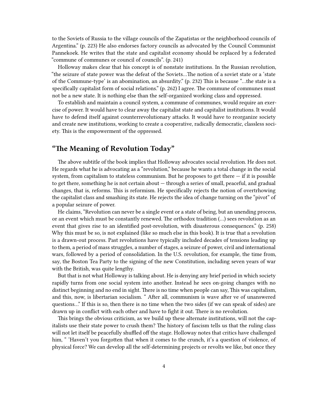to the Soviets of Russia to the village councils of the Zapatistas or the neighborhood councils of Argentina." (p. 223) He also endorses factory councils as advocated by the Council Communist Pannekoek. He writes that the state and capitalist economy should be replaced by a federated "commune of communes or council of councils". (p. 241)

Holloway makes clear that his concept is of nonstate institutions. In the Russian revolution, "the seizure of state power was the defeat of the Soviets…The notion of a soviet state or a 'state of the Commune-type' is an abomination, an absurdity." (p. 232) This is because "…the state is a specifically capitalist form of social relations." (p. 262) I agree. The commune of communes must not be a new state. It is nothing else than the self-organized working class and oppressed.

To establish and maintain a council system, a commune of communes, would require an exercise of power. It would have to clear away the capitalist state and capitalist institutions. It would have to defend itself against counterrevolutionary attacks. It would have to reorganize society and create new institutions, working to create a cooperative, radically democratic, classless society. This is the empowerment of the oppressed.

### <span id="page-3-0"></span>**"The Meaning of Revolution Today"**

The above subtitle of the book implies that Holloway advocates social revolution. He does not. He regards what he is advocating as a "revolution," because he wants a total change in the social system, from capitalism to stateless communism. But he proposes to get there  $-$  if it is possible to get there, something he is not certain about — through a series of small, peaceful, and gradual changes, that is, reforms. This is reformism. He specifically rejects the notion of overtrhowing the capitalist class and smashing its state. He rejects the idea of change turning on the "pivot" of a popular seizure of power.

He claims, "Revolution can never be a single event or a state of being, but an unending process, or an event which must be constantly renewed. The orthodox tradition (…) sees revolution as an event that gives rise to an identified post-revolution, with disasterous consequences." (p. 258) Why this must be so, is not explained (like so much else in this book). It is true that a revolution is a drawn-out process. Past revolutions have typically included decades of tensions leading up to them, a period of mass struggles, a number of stages, a seizure of power, civil and international wars, followed by a period of consolidation. In the U.S. revolution, for example, the time from, say, the Boston Tea Party to the signing of the new Constitution, including seven years of war with the British, was quite lengthy.

But that is not what Holloway is talking about. He is denying any brief period in which society rapidly turns from one social system into another. Instead he sees on-going changes with no distinct beginning and no end in sight. There is no time when people can say, This was capitalism, and this, now, is libertarian socialism. " After all, communism is wave after ve of unanswered questions…" If this is so, then there is no time when the two sides (if we can speak of sides) are drawn up in conflict with each other and have to fight it out. There is no revolution.

This brings the obvious criticism, as we build up these alternate institutions, will not the capitalists use their state power to crush them? The history of fascism tells us that the ruling class will not let itself be peacefully shuffled off the stage. Holloway notes that critics have challenged him, " 'Haven't you forgotten that when it comes to the crunch, it's a question of violence, of physical force? We can develop all the self-determining projects or revolts we like, but once they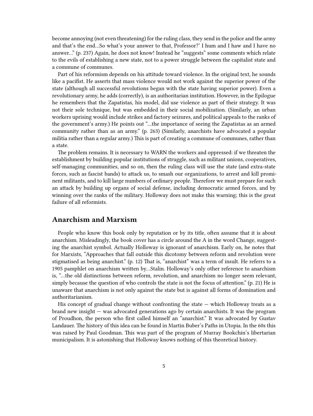become annoying (not even threatening) for the ruling class, they send in the police and the army and that's the end…So what's your answer to that, Professor?' I hum and I haw and I have no answer…" (p. 237) Again, he does not know! Instead he "suggests" some comments which relate to the evils of establishing a new state, not to a power struggle between the capitalist state and a commune of communes.

Part of his reformism depends on his attitude toward violence. In the original text, he sounds like a pacifist. He asserts that mass violence would not work against the superior power of the state (although all successful revolutions began with the state having superior power). Even a revolutionary army, he adds (correctly), is an authoritarian institution. However, in the Epilogue he remembers that the Zapatistas, his model, did use violence as part of their strategy. It was not their sole technique, but was embedded in their social mobilization. (Similarly, an urban workers uprising would include strikes and factory seizures, and political appeals to the ranks of the government's army.) He points out "…the importance of seeing the Zapatistas as an armed community rather than as an army." (p. 263) (Similarly, anarchists have advocated a popular militia rather than a regular army.) This is part of creating a commune of communes, rather than a state.

The problem remains. It is necessary to WARN the workers and oppressed: if we threaten the establishment by building popular institutions of struggle, such as militant unions, cooperatives, self-managing communities, and so on, then the ruling class will use the state (and extra-state forces, such as fascist bands) to attack us, to smash our organizations, to arrest and kill prominent militants, and to kill large numbers of ordinary people. Therefore we must prepare for such an attack by building up organs of social defense, including democratic armed forces, and by winning over the ranks of the military. Holloway does not make this warning; this is the great failure of all reformists.

#### <span id="page-4-0"></span>**Anarchism and Marxism**

People who know this book only by reputation or by its title, often assume that it is about anarchism. Misleadingly, the book cover has a circle around the A in the word Change, suggesting the anarchist symbol. Actually Holloway is ignorant of anarchism. Early on, he notes that for Marxists, "Approaches that fall outside this dicotomy between reform and revolution were stigmatised as being anarchist." (p. 12) That is, "anarchist" was a term of insult. He referrs to a 1905 pamphlet on anarchism written by…Stalin. Holloway's only other reference to anarchism is, "…the old distinctions between reform, revolution, and anarchism no longer seem relevant, simply because the question of who controls the state is not the focus of attention." (p. 21) He is unaware that anarchism is not only against the state but is against all forms of domination and authoritarianism.

His concept of gradual change without confronting the state  $-$  which Holloway treats as a brand new insight — was advocated generations ago by certain anarchists. It was the program of Proudhon, the person who first called himself an "anarchist." It was advocated by Gustav Landauer. The history of this idea can be found in Martin Buber's Paths in Utopia. In the 60s this was raised by Paul Goodman. This was part of the program of Murray Bookchin's libertarian municipalism. It is astonishing that Holloway knows nothing of this theoretical history.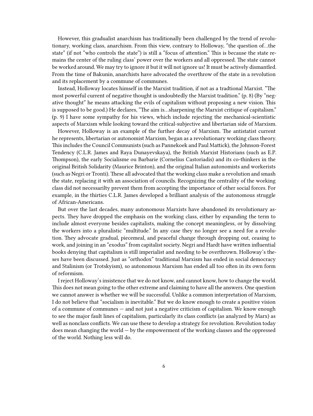However, this gradualist anarchism has traditionally been challenged by the trend of revolutionary, working class, anarchism. From this view, contrary to Holloway, "the question of…the state" (if not "who controls the state") is still a "focus of attention." This is because the state remains the center of the ruling class' power over the workers and all oppressed. The state cannot be worked around. We may try to ignore it but it will not ignore us! It must be actively dismantled. From the time of Bakunin, anarchists have advocated the overthrow of the state in a revolution and its replacement by a commune of communes.

Instead, Holloway locates himself in the Marxist tradition, if not as a tradtional Marxist. "The most powerful current of negative thought is undoubtedly the Marxist tradition." (p. 8) (By "negative thought" he means attacking the evils of capitalism without proposing a new vision. This is supposed to be good.) He declares, "The aim is…sharpening the Marxist critique of capitalism." (p. 9) I have some sympathy for his views, which include rejecting the mechanical-scientistic aspects of Marxism while looking toward the critical-subjective and libertarian side of Marxism.

However, Holloway is an example of the further decay of Marxism. The antistatist current he represents, libertarian or autonomist Marxism, began as a revolutionary working class theory. This includes the Council Communists (such as Pannekoek and Paul Mattick), the Johnson-Forest Tendency (C.L.R. James and Raya Dunayevskaya), the British Marxist Historians (such as E.P. Thompson), the early Socialisme ou Barbarie (Cornelius Castoriadis) and its co-thinkers in the original British Solidarity (Maurice Brinton), and the original Italian autonomists and workerists (such as Negri or Tronti). These all advocated that the working class make a revolution and smash the state, replacing it with an association of councils. Recognizing the centrality of the working class did not necessarilty prevent them from accepting the importance of other social forces. For example, in the thirties C.L.R. James developed a brilliant analysis of the autonomous struggle of African-Americans.

But over the last decades, many autonomous Marxists have abandoned its revolutionary aspects. They have dropped the emphasis on the working class, either by expanding the term to include almost everyone besides capitalists, making the concept meaningless, or by dissolving the workers into a pluralistic "multitude." In any case they no longer see a need for a revolution. They advocate gradual, piecemeal, and peaceful change through dropping out, ceasing to work, and joining in an "exodus" from capitalist society. Negri and Hardt have written influential books denying that capitalism is still imperialist and needing to be overthrown. Holloway's theses have been discussed. Just as "orthodox" traditional Marxism has ended in social democracy and Stalinism (or Trotskyism), so autonomous Marxism has ended all too often in its own form of reformism.

I reject Holloway's insistence that we do not know, and cannot know, how to change the world. This does not mean going to the other extreme and claiming to have all the answers. One question we cannot answer is whether we will be successful. Unlike a common interpretation of Marxism, I do not believe that "socialism is inevitable." But we do know enough to create a positive vision of a commune of communes — and not just a negative criticism of capitalism. We know enough to see the major fault lines of capitalism, particularly its class conflicts (as analyzed by Marx) as well as nonclass conflicts. We can use these to develop a strategy for revolution. Revolution today does mean changing the world — by the empowerment of the working classes and the oppressed of the world. Nothing less will do.